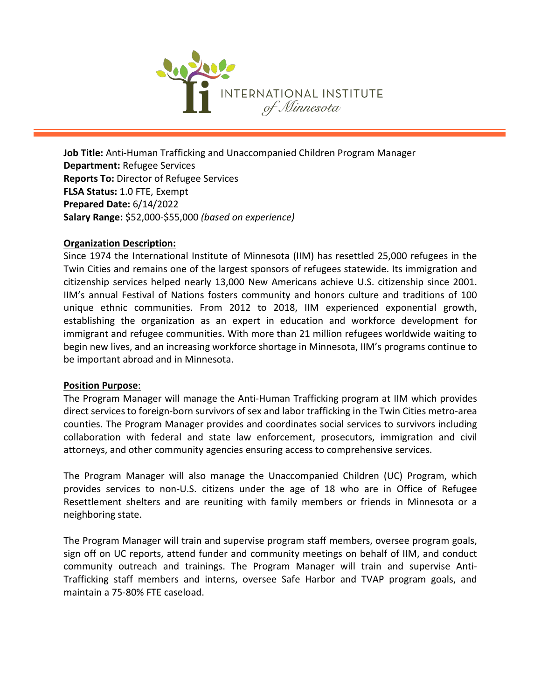

**Job Title:** Anti-Human Trafficking and Unaccompanied Children Program Manager **Department:** Refugee Services **Reports To:** Director of Refugee Services **FLSA Status:** 1.0 FTE, Exempt **Prepared Date:** 6/14/2022 **Salary Range:** \$52,000-\$55,000 *(based on experience)*

# **Organization Description:**

Since 1974 the International Institute of Minnesota (IIM) has resettled 25,000 refugees in the Twin Cities and remains one of the largest sponsors of refugees statewide. Its immigration and citizenship services helped nearly 13,000 New Americans achieve U.S. citizenship since 2001. IIM's annual Festival of Nations fosters community and honors culture and traditions of 100 unique ethnic communities. From 2012 to 2018, IIM experienced exponential growth, establishing the organization as an expert in education and workforce development for immigrant and refugee communities. With more than 21 million refugees worldwide waiting to begin new lives, and an increasing workforce shortage in Minnesota, IIM's programs continue to be important abroad and in Minnesota.

### **Position Purpose**:

The Program Manager will manage the Anti-Human Trafficking program at IIM which provides direct services to foreign-born survivors of sex and labor trafficking in the Twin Cities metro-area counties. The Program Manager provides and coordinates social services to survivors including collaboration with federal and state law enforcement, prosecutors, immigration and civil attorneys, and other community agencies ensuring access to comprehensive services.

The Program Manager will also manage the Unaccompanied Children (UC) Program, which provides services to non-U.S. citizens under the age of 18 who are in Office of Refugee Resettlement shelters and are reuniting with family members or friends in Minnesota or a neighboring state.

The Program Manager will train and supervise program staff members, oversee program goals, sign off on UC reports, attend funder and community meetings on behalf of IIM, and conduct community outreach and trainings. The Program Manager will train and supervise Anti-Trafficking staff members and interns, oversee Safe Harbor and TVAP program goals, and maintain a 75-80% FTE caseload.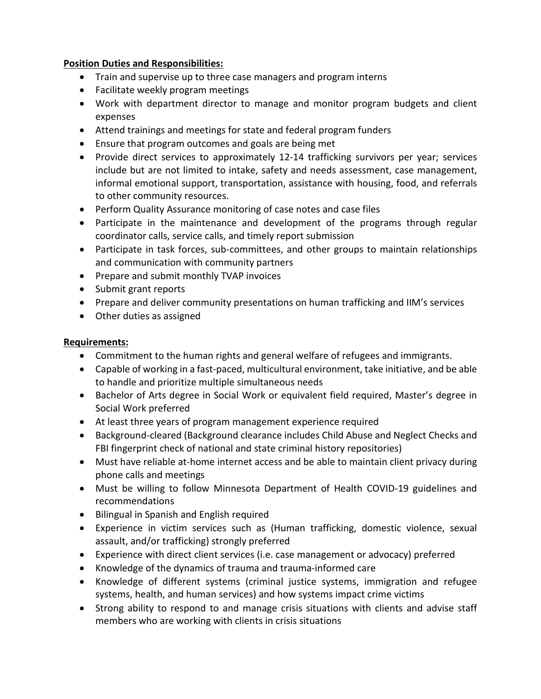# **Position Duties and Responsibilities:**

- Train and supervise up to three case managers and program interns
- Facilitate weekly program meetings
- Work with department director to manage and monitor program budgets and client expenses
- Attend trainings and meetings for state and federal program funders
- Ensure that program outcomes and goals are being met
- Provide direct services to approximately 12-14 trafficking survivors per year; services include but are not limited to intake, safety and needs assessment, case management, informal emotional support, transportation, assistance with housing, food, and referrals to other community resources.
- Perform Quality Assurance monitoring of case notes and case files
- Participate in the maintenance and development of the programs through regular coordinator calls, service calls, and timely report submission
- Participate in task forces, sub-committees, and other groups to maintain relationships and communication with community partners
- Prepare and submit monthly TVAP invoices
- Submit grant reports
- Prepare and deliver community presentations on human trafficking and IIM's services
- Other duties as assigned

# **Requirements:**

- Commitment to the human rights and general welfare of refugees and immigrants.
- Capable of working in a fast-paced, multicultural environment, take initiative, and be able to handle and prioritize multiple simultaneous needs
- Bachelor of Arts degree in Social Work or equivalent field required, Master's degree in Social Work preferred
- At least three years of program management experience required
- Background-cleared (Background clearance includes Child Abuse and Neglect Checks and FBI fingerprint check of national and state criminal history repositories)
- Must have reliable at-home internet access and be able to maintain client privacy during phone calls and meetings
- Must be willing to follow Minnesota Department of Health COVID-19 guidelines and recommendations
- Bilingual in Spanish and English required
- Experience in victim services such as (Human trafficking, domestic violence, sexual assault, and/or trafficking) strongly preferred
- Experience with direct client services (i.e. case management or advocacy) preferred
- Knowledge of the dynamics of trauma and trauma-informed care
- Knowledge of different systems (criminal justice systems, immigration and refugee systems, health, and human services) and how systems impact crime victims
- Strong ability to respond to and manage crisis situations with clients and advise staff members who are working with clients in crisis situations